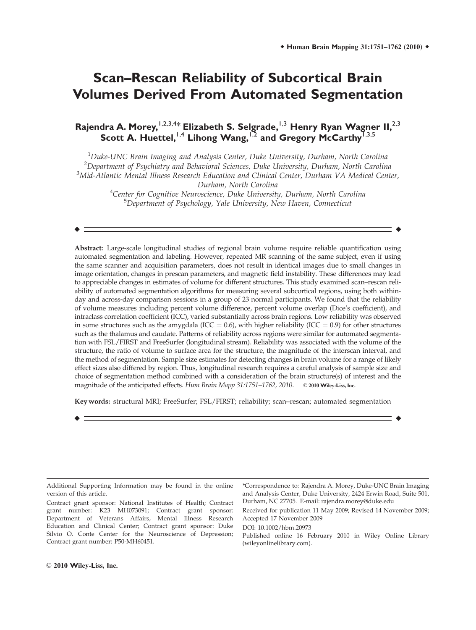# **Scan–Rescan Reliability of Subcortical Brain Volumes Derived From Automated Segmentation**

**Rajendra A. Morey,**<sup>1,2,3,4\*</sup> **Elizabeth S. Selgrade,**<sup>1,3</sup> Henry Ryan Wagner II,<sup>2,3</sup> Scott A. Huettel,<sup>1,4</sup> Lihong Wang,<sup>1,2</sup> and Gregory McCarthy<sup>1,3,5</sup>

 $^1$ Duke-UNC Brain Imaging and Analysis Center, Duke University, Durham, North Carolina <sup>2</sup>Department of Psychiatry and Behavioral Sciences, Duke University, Durham, North Carolina <sup>3</sup>Mid-Atlantic Mental Illness Research Education and Clinical Center, Durham VA Medical Center, Durham, North Carolina <sup>4</sup>Center for Cognitive Neuroscience, Duke University, Durham, North Carolina 5 Department of Psychology, Yale University, New Haven, Connecticut

r r

Abstract: Large-scale longitudinal studies of regional brain volume require reliable quantification using automated segmentation and labeling. However, repeated MR scanning of the same subject, even if using the same scanner and acquisition parameters, does not result in identical images due to small changes in image orientation, changes in prescan parameters, and magnetic field instability. These differences may lead to appreciable changes in estimates of volume for different structures. This study examined scan–rescan reliability of automated segmentation algorithms for measuring several subcortical regions, using both withinday and across-day comparison sessions in a group of 23 normal participants. We found that the reliability of volume measures including percent volume difference, percent volume overlap (Dice's coefficient), and intraclass correlation coefficient (ICC), varied substantially across brain regions. Low reliability was observed in some structures such as the amygdala (ICC = 0.6), with higher reliability (ICC = 0.9) for other structures such as the thalamus and caudate. Patterns of reliability across regions were similar for automated segmentation with FSL/FIRST and FreeSurfer (longitudinal stream). Reliability was associated with the volume of the structure, the ratio of volume to surface area for the structure, the magnitude of the interscan interval, and the method of segmentation. Sample size estimates for detecting changes in brain volume for a range of likely effect sizes also differed by region. Thus, longitudinal research requires a careful analysis of sample size and choice of segmentation method combined with a consideration of the brain structure(s) of interest and the magnitude of the anticipated effects. Hum Brain Mapp 31:1751-1762, 2010. © 2010 Wiley-Liss, Inc.

Key words: structural MRI; FreeSurfer; FSL/FIRST; reliability; scan–rescan; automated segmentation

r r

Additional Supporting Information may be found in the online version of this article.

Contract grant sponsor: National Institutes of Health; Contract grant number: K23 MH073091; Contract grant sponsor: Department of Veterans Affairs, Mental Illness Research Education and Clinical Center; Contract grant sponsor: Duke Silvio O. Conte Center for the Neuroscience of Depression; Contract grant number: P50-MH60451.

\*Correspondence to: Rajendra A. Morey, Duke-UNC Brain Imaging and Analysis Center, Duke University, 2424 Erwin Road, Suite 501, Durham, NC 27705. E-mail: rajendra.morey@duke.edu

Received for publication 11 May 2009; Revised 14 November 2009; Accepted 17 November 2009

DOI: 10.1002/hbm.20973

Published online 16 February 2010 in Wiley Online Library (wileyonlinelibrary.com).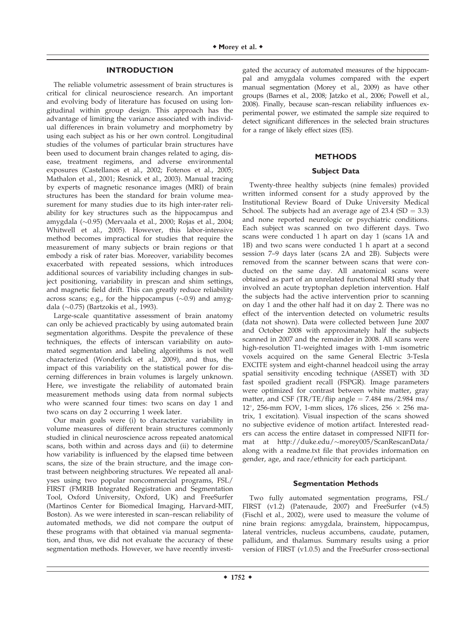## **INTRODUCTION**

The reliable volumetric assessment of brain structures is critical for clinical neuroscience research. An important and evolving body of literature has focused on using longitudinal within group design. This approach has the advantage of limiting the variance associated with individual differences in brain volumetry and morphometry by using each subject as his or her own control. Longitudinal studies of the volumes of particular brain structures have been used to document brain changes related to aging, disease, treatment regimens, and adverse environmental exposures (Castellanos et al., 2002; Fotenos et al., 2005; Mathalon et al., 2001; Resnick et al., 2003). Manual tracing by experts of magnetic resonance images (MRI) of brain structures has been the standard for brain volume measurement for many studies due to its high inter-rater reliability for key structures such as the hippocampus and amygdala ( $\sim$ 0.95) (Mervaala et al., 2000; Rojas et al., 2004; Whitwell et al., 2005). However, this labor-intensive method becomes impractical for studies that require the measurement of many subjects or brain regions or that embody a risk of rater bias. Moreover, variability becomes exacerbated with repeated sessions, which introduces additional sources of variability including changes in subject positioning, variability in prescan and shim settings, and magnetic field drift. This can greatly reduce reliability across scans; e.g., for the hippocampus  $(\sim 0.9)$  and amygdala ( $\sim$ 0.75) (Bartzokis et al., 1993).

Large-scale quantitative assessment of brain anatomy can only be achieved practicably by using automated brain segmentation algorithms. Despite the prevalence of these techniques, the effects of interscan variability on automated segmentation and labeling algorithms is not well characterized (Wonderlick et al., 2009), and thus, the impact of this variability on the statistical power for discerning differences in brain volumes is largely unknown. Here, we investigate the reliability of automated brain measurement methods using data from normal subjects who were scanned four times: two scans on day 1 and two scans on day 2 occurring 1 week later.

Our main goals were (i) to characterize variability in volume measures of different brain structures commonly studied in clinical neuroscience across repeated anatomical scans, both within and across days and (ii) to determine how variability is influenced by the elapsed time between scans, the size of the brain structure, and the image contrast between neighboring structures. We repeated all analyses using two popular noncommercial programs, FSL/ FIRST (FMRIB Integrated Registration and Segmentation Tool, Oxford University, Oxford, UK) and FreeSurfer (Martinos Center for Biomedical Imaging, Harvard-MIT, Boston). As we were interested in scan–rescan reliability of automated methods, we did not compare the output of these programs with that obtained via manual segmentation, and thus, we did not evaluate the accuracy of these segmentation methods. However, we have recently investi-

gated the accuracy of automated measures of the hippocampal and amygdala volumes compared with the expert manual segmentation (Morey et al., 2009) as have other groups (Barnes et al., 2008; Jatzko et al., 2006; Powell et al., 2008). Finally, because scan–rescan reliability influences experimental power, we estimated the sample size required to detect significant differences in the selected brain structures for a range of likely effect sizes (ES).

#### **METHODS**

#### **Subject Data**

Twenty-three healthy subjects (nine females) provided written informed consent for a study approved by the Institutional Review Board of Duke University Medical School. The subjects had an average age of  $23.4$  (SD =  $3.3$ ) and none reported neurologic or psychiatric conditions. Each subject was scanned on two different days. Two scans were conducted 1 h apart on day 1 (scans 1A and 1B) and two scans were conducted 1 h apart at a second session 7–9 days later (scans 2A and 2B). Subjects were removed from the scanner between scans that were conducted on the same day. All anatomical scans were obtained as part of an unrelated functional MRI study that involved an acute tryptophan depletion intervention. Half the subjects had the active intervention prior to scanning on day 1 and the other half had it on day 2. There was no effect of the intervention detected on volumetric results (data not shown). Data were collected between June 2007 and October 2008 with approximately half the subjects scanned in 2007 and the remainder in 2008. All scans were high-resolution T1-weighted images with 1-mm isometric voxels acquired on the same General Electric 3-Tesla EXCITE system and eight-channel headcoil using the array spatial sensitivity encoding technique (ASSET) with 3D fast spoiled gradient recall (FSPGR). Image parameters were optimized for contrast between white matter, gray matter, and CSF (TR/TE/flip angle  $= 7.484$  ms/2.984 ms/ 12°, 256-mm FOV, 1-mm slices, 176 slices, 256 × 256 matrix, 1 excitation). Visual inspection of the scans showed no subjective evidence of motion artifact. Interested readers can access the entire dataset in compressed NIFTI format at http://duke.edu/~morey005/ScanRescanData/ along with a readme.txt file that provides information on gender, age, and race/ethnicity for each participant.

#### **Segmentation Methods**

Two fully automated segmentation programs, FSL/ FIRST (v1.2) (Patenaude, 2007) and FreeSurfer (v4.5) (Fischl et al., 2002), were used to measure the volume of nine brain regions: amygdala, brainstem, hippocampus, lateral ventricles, nucleus accumbens, caudate, putamen, pallidum, and thalamus. Summary results using a prior version of FIRST (v1.0.5) and the FreeSurfer cross-sectional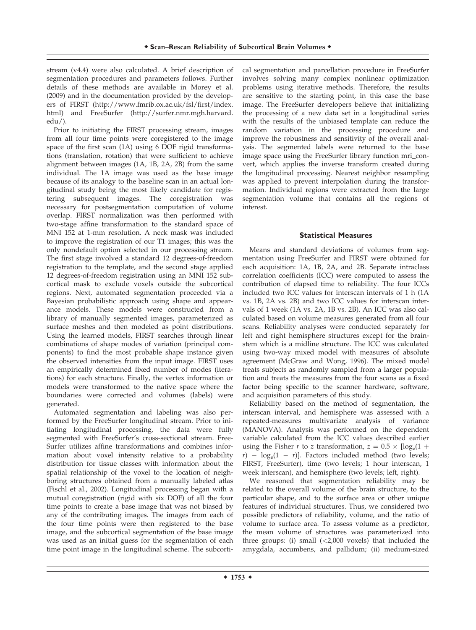stream (v4.4) were also calculated. A brief description of segmentation procedures and parameters follows. Further details of these methods are available in Morey et al. (2009) and in the documentation provided by the developers of FIRST (http://www.fmrib.ox.ac.uk/fsl/first/index. html) and FreeSurfer (http://surfer.nmr.mgh.harvard. edu/).

Prior to initiating the FIRST processing stream, images from all four time points were coregistered to the image space of the first scan (1A) using 6 DOF rigid transformations (translation, rotation) that were sufficient to achieve alignment between images (1A, 1B, 2A, 2B) from the same individual. The 1A image was used as the base image because of its analogy to the baseline scan in an actual longitudinal study being the most likely candidate for registering subsequent images. The coregistration was necessary for postsegmentation computation of volume overlap. FIRST normalization was then performed with two-stage affine transformation to the standard space of MNI 152 at 1-mm resolution. A neck mask was included to improve the registration of our T1 images; this was the only nondefault option selected in our processing stream. The first stage involved a standard 12 degrees-of-freedom registration to the template, and the second stage applied 12 degrees-of-freedom registration using an MNI 152 subcortical mask to exclude voxels outside the subcortical regions. Next, automated segmentation proceeded via a Bayesian probabilistic approach using shape and appearance models. These models were constructed from a library of manually segmented images, parameterized as surface meshes and then modeled as point distributions. Using the learned models, FIRST searches through linear combinations of shape modes of variation (principal components) to find the most probable shape instance given the observed intensities from the input image. FIRST uses an empirically determined fixed number of modes (iterations) for each structure. Finally, the vertex information or models were transformed to the native space where the boundaries were corrected and volumes (labels) were generated.

Automated segmentation and labeling was also performed by the FreeSurfer longitudinal stream. Prior to initiating longitudinal processing, the data were fully segmented with FreeSurfer's cross-sectional stream. Free-Surfer utilizes affine transformations and combines information about voxel intensity relative to a probability distribution for tissue classes with information about the spatial relationship of the voxel to the location of neighboring structures obtained from a manually labeled atlas (Fischl et al., 2002). Longitudinal processing began with a mutual coregistration (rigid with six DOF) of all the four time points to create a base image that was not biased by any of the contributing images. The images from each of the four time points were then registered to the base image, and the subcortical segmentation of the base image was used as an initial guess for the segmentation of each time point image in the longitudinal scheme. The subcortical segmentation and parcellation procedure in FreeSurfer involves solving many complex nonlinear optimization problems using iterative methods. Therefore, the results are sensitive to the starting point, in this case the base image. The FreeSurfer developers believe that initializing the processing of a new data set in a longitudinal series with the results of the unbiased template can reduce the random variation in the processing procedure and improve the robustness and sensitivity of the overall analysis. The segmented labels were returned to the base image space using the FreeSurfer library function mri\_convert, which applies the inverse transform created during the longitudinal processing. Nearest neighbor resampling was applied to prevent interpolation during the transformation. Individual regions were extracted from the large segmentation volume that contains all the regions of interest.

# **Statistical Measures**

Means and standard deviations of volumes from segmentation using FreeSurfer and FIRST were obtained for each acquisition: 1A, 1B, 2A, and 2B. Separate intraclass correlation coefficients (ICC) were computed to assess the contribution of elapsed time to reliability. The four ICCs included two ICC values for interscan intervals of 1 h (1A vs. 1B, 2A vs. 2B) and two ICC values for interscan intervals of 1 week (1A vs. 2A, 1B vs. 2B). An ICC was also calculated based on volume measures generated from all four scans. Reliability analyses were conducted separately for left and right hemisphere structures except for the brainstem which is a midline structure. The ICC was calculated using two-way mixed model with measures of absolute agreement (McGraw and Wong, 1996). The mixed model treats subjects as randomly sampled from a larger population and treats the measures from the four scans as a fixed factor being specific to the scanner hardware, software, and acquisition parameters of this study.

Reliability based on the method of segmentation, the interscan interval, and hemisphere was assessed with a repeated-measures multivariate analysis of variance (MANOVA). Analysis was performed on the dependent variable calculated from the ICC values described earlier using the Fisher r to z transformation,  $z = 0.5 \times \log_e(1 +$  $r$ ) –  $log_e(1 - r)$ ]. Factors included method (two levels; FIRST, FreeSurfer), time (two levels; 1 hour interscan, 1 week interscan), and hemisphere (two levels; left, right).

We reasoned that segmentation reliability may be related to the overall volume of the brain structure, to the particular shape, and to the surface area or other unique features of individual structures. Thus, we considered two possible predictors of reliability, volume, and the ratio of volume to surface area. To assess volume as a predictor, the mean volume of structures was parameterized into three groups: (i) small (<2,000 voxels) that included the amygdala, accumbens, and pallidum; (ii) medium-sized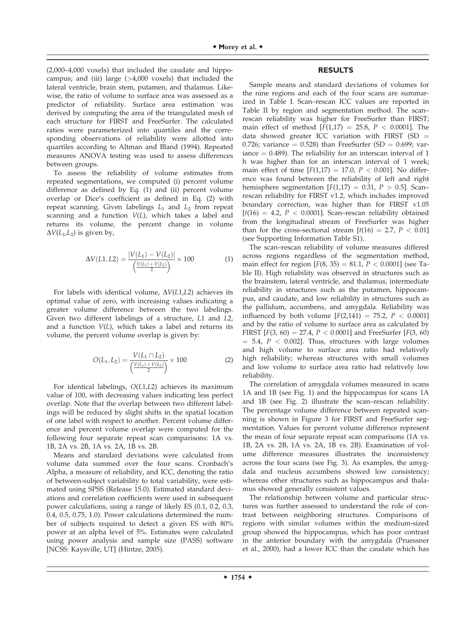(2,000–4,000 voxels) that included the caudate and hippocampus; and (iii) large (>4,000 voxels) that included the lateral ventricle, brain stem, putamen, and thalamus. Likewise, the ratio of volume to surface area was assessed as a predictor of reliability. Surface area estimation was derived by computing the area of the triangulated mesh of each structure for FIRST and FreeSurfer. The calculated ratios were parameterized into quartiles and the corresponding observations of reliability were allotted into quartiles according to Altman and Bland (1994). Repeated measures ANOVA testing was used to assess differences between groups.

To assess the reliability of volume estimates from repeated segmentations, we computed (i) percent volume difference as defined by Eq. (1) and (ii) percent volume overlap or Dice's coefficient as defined in Eq. (2) with repeat scanning. Given labelings  $L_1$  and  $L_2$  from repeat scanning and a function  $V(L)$ , which takes a label and returns its volume, the percent change in volume  $\Delta V(L_1,L_2)$  is given by,

$$
\Delta V(L1, L2) = \frac{|V(L_1) - V(L_2)|}{\left(\frac{V(L_1) + V(L_2)}{2}\right)} \times 100\tag{1}
$$

For labels with identical volume,  $\Delta V(L1,L2)$  achieves its optimal value of zero, with increasing values indicating a greater volume difference between the two labelings. Given two different labelings of a structure, L1 and L2, and a function  $V(L)$ , which takes a label and returns its volume, the percent volume overlap is given by:

$$
O(L_1, L_2) = \frac{V(L_1 \cap L_2)}{\left(\frac{V(L_1) + V(L_2)}{2}\right)} \times 100
$$
 (2)

For identical labelings, O(L1,L2) achieves its maximum value of 100, with decreasing values indicating less perfect overlap. Note that the overlap between two different labelings will be reduced by slight shifts in the spatial location of one label with respect to another. Percent volume difference and percent volume overlap were computed for the following four separate repeat scan comparisons: 1A vs. 1B, 2A vs. 2B, 1A vs. 2A, 1B vs. 2B.

Means and standard deviations were calculated from volume data summed over the four scans. Cronbach's Alpha, a measure of reliability, and ICC, denoting the ratio of between-subject variability to total variability, were estimated using SPSS (Release 15.0). Estimated standard deviations and correlation coefficients were used in subsequent power calculations, using a range of likely ES (0.1, 0.2, 0.3, 0.4, 0.5, 0.75, 1.0). Power calculations determined the number of subjects required to detect a given ES with 80% power at an alpha level of 5%. Estimates were calculated using power analysis and sample size (PASS) software [NCSS: Kaysville, UT] (Hintze, 2005).

## **RESULTS**

Sample means and standard deviations of volumes for the nine regions and each of the four scans are summarized in Table I. Scan–rescan ICC values are reported in Table II by region and segmentation method. The scan– rescan reliability was higher for FreeSurfer than FIRST; main effect of method  $[F(1,17) = 25.8, P < 0.0001]$ . The data showed greater ICC variation with FIRST (SD  $=$ 0.726; variance  $= 0.528$ ) than FreeSurfer (SD  $= 0.699$ ; variance  $= 0.489$ ). The reliability for an interscan interval of 1 h was higher than for an interscan interval of 1 week; main effect of time  $[F(1,17) = 17.0, P < 0.001]$ . No difference was found between the reliability of left and right hemisphere segmentation  $[F(1,17) = 0.31, P > 0.5]$ . Scanrescan reliability for FIRST v1.2, which includes improved boundary correction, was higher than for FIRST v1.05  $[t(16) = 4.2, P < 0.0001]$ . Scan–rescan reliability obtained from the longitudinal stream of FreeSurfer was higher than for the cross-sectional stream  $[t(16) = 2.7, P < 0.01]$ (see Supporting Information Table S1).

The scan–rescan reliability of volume measures differed across regions regardless of the segmentation method, main effect for region  $[F(8, 35) = 81.1, P < 0.0001]$  (see Table II). High reliability was observed in structures such as the brainstem, lateral ventricle, and thalamus, intermediate reliability in structures such as the putamen, hippocampus, and caudate, and low reliability in structures such as the pallidum, accumbens, and amygdala. Reliability was influenced by both volume  $[F(2,141) = 75.2, P < 0.0001]$ and by the ratio of volume to surface area as calculated by FIRST  $[F(3, 60) = 27.4, P < 0.0001]$  and FreeSurfer  $[F(3, 60)$  $= 5.4$ ,  $P < 0.002$ ]. Thus, structures with large volumes and high volume to surface area ratio had relatively high reliability; whereas structures with small volumes and low volume to surface area ratio had relatively low reliability.

The correlation of amygdala volumes measured in scans 1A and 1B (see Fig. 1) and the hippocampus for scans 1A and 1B (see Fig. 2) illustrate the scan–rescan reliability. The percentage volume difference between repeated scanning is shown in Figure 3 for FIRST and FreeSurfer segmentation. Values for percent volume difference represent the mean of four separate repeat scan comparisons (1A vs. 1B, 2A vs. 2B, 1A vs. 2A, 1B vs. 2B). Examination of volume difference measures illustrates the inconsistency across the four scans (see Fig. 3). As examples, the amygdala and nucleus accumbens showed low consistency; whereas other structures such as hippocampus and thalamus showed generally consistent values.

The relationship between volume and particular structures was further assessed to understand the role of contrast between neighboring structures. Comparisons of regions with similar volumes within the medium-sized group showed the hippocampus, which has poor contrast in the anterior boundary with the amygdala (Pruessner et al., 2000), had a lower ICC than the caudate which has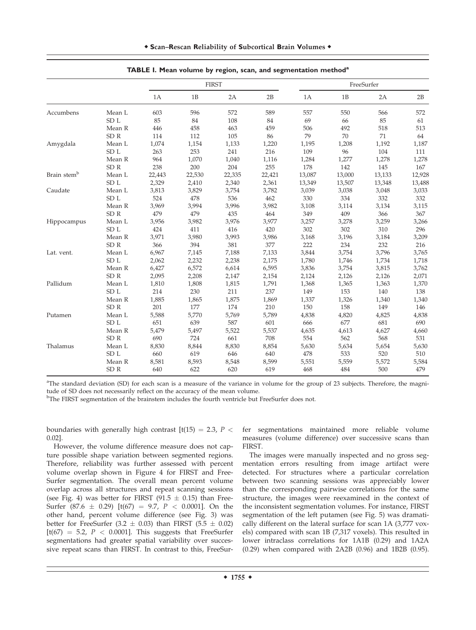|                         |                 |        | <b>FIRST</b> |        |        |        | FreeSurfer |        |        |  |
|-------------------------|-----------------|--------|--------------|--------|--------|--------|------------|--------|--------|--|
|                         |                 | 1A     | 1B           | 2A     | 2B     | 1A     | 1B         | 2A     | 2B     |  |
| Accumbens               | Mean L          | 603    | 596          | 572    | 589    | 557    | 550        | 566    | 572    |  |
|                         | SD <sub>L</sub> | 85     | 84           | 108    | 84     | 69     | 66         | 85     | 61     |  |
|                         | Mean R          | 446    | 458          | 463    | 459    | 506    | 492        | 518    | 513    |  |
|                         | SD <sub>R</sub> | 114    | 112          | 105    | 86     | 79     | 70         | 71     | 64     |  |
| Amygdala                | Mean L          | 1,074  | 1,154        | 1,133  | 1,220  | 1,195  | 1,208      | 1,192  | 1,187  |  |
|                         | SD <sub>L</sub> | 263    | 253          | 241    | 216    | 109    | 96         | 104    | 111    |  |
|                         | Mean R          | 964    | 1,070        | 1,040  | 1,116  | 1,284  | 1,277      | 1,278  | 1,278  |  |
|                         | SD <sub>R</sub> | 238    | 200          | 204    | 255    | 178    | 142        | 145    | 167    |  |
| Brain stem <sup>b</sup> | Mean L          | 22,443 | 22,530       | 22,335 | 22,421 | 13,087 | 13,000     | 13,133 | 12,928 |  |
|                         | SD <sub>L</sub> | 2,329  | 2,410        | 2,340  | 2,361  | 13,349 | 13,507     | 13,348 | 13,488 |  |
| Caudate                 | Mean L          | 3,813  | 3,829        | 3,754  | 3,782  | 3,039  | 3,038      | 3,048  | 3,033  |  |
|                         | SD <sub>L</sub> | 524    | 478          | 536    | 462    | 330    | 334        | 332    | 332    |  |
|                         | Mean R          | 3,969  | 3,994        | 3,996  | 3,982  | 3,108  | 3,114      | 3,134  | 3,115  |  |
|                         | SD <sub>R</sub> | 479    | 479          | 435    | 464    | 349    | 409        | 366    | 367    |  |
| Hippocampus             | Mean L          | 3,956  | 3,982        | 3,976  | 3,977  | 3,257  | 3,278      | 3,259  | 3,266  |  |
|                         | SD <sub>L</sub> | 424    | 411          | 416    | 420    | 302    | 302        | 310    | 296    |  |
|                         | Mean R          | 3,971  | 3,980        | 3,993  | 3,986  | 3,168  | 3,196      | 3,184  | 3,209  |  |
|                         | SD <sub>R</sub> | 366    | 394          | 381    | 377    | 222    | 234        | 232    | 216    |  |
| Lat. vent.              | Mean L          | 6,967  | 7,145        | 7,188  | 7,133  | 3,844  | 3,754      | 3,796  | 3,765  |  |
|                         | SD <sub>L</sub> | 2,062  | 2,232        | 2,238  | 2,175  | 1,780  | 1,746      | 1,734  | 1,718  |  |
|                         | Mean R          | 6,427  | 6,572        | 6,614  | 6,595  | 3,836  | 3,754      | 3,815  | 3,762  |  |
|                         | SD <sub>R</sub> | 2,095  | 2,208        | 2,147  | 2,154  | 2,124  | 2,126      | 2,126  | 2,071  |  |
| Pallidum                | Mean L          | 1,810  | 1,808        | 1,815  | 1,791  | 1,368  | 1,365      | 1,363  | 1,370  |  |
|                         | SDL             | 214    | 230          | 211    | 237    | 149    | 153        | 140    | 138    |  |
|                         | Mean R          | 1,885  | 1,865        | 1,875  | 1,869  | 1,337  | 1,326      | 1,340  | 1,340  |  |
|                         | SD <sub>R</sub> | 201    | 177          | 174    | 210    | 150    | 158        | 149    | 146    |  |
| Putamen                 | Mean L          | 5,588  | 5,770        | 5,769  | 5,789  | 4,838  | 4,820      | 4,825  | 4,838  |  |
|                         | SD <sub>L</sub> | 651    | 639          | 587    | 601    | 666    | 677        | 681    | 690    |  |
|                         | Mean R          | 5,479  | 5,497        | 5,522  | 5,537  | 4,635  | 4,613      | 4,627  | 4,660  |  |
|                         | SD <sub>R</sub> | 690    | 724          | 661    | 708    | 554    | 562        | 568    | 531    |  |
| Thalamus                | Mean L          | 8,830  | 8,844        | 8,830  | 8,854  | 5,630  | 5,634      | 5,654  | 5,630  |  |
|                         | SD <sub>L</sub> | 660    | 619          | 646    | 640    | 478    | 533        | 520    | 510    |  |
|                         | Mean R          | 8,581  | 8,593        | 8,548  | 8,599  | 5,551  | 5,559      | 5,572  | 5,584  |  |
|                         | SD <sub>R</sub> | 640    | 622          | 620    | 619    | 468    | 484        | 500    | 479    |  |

TABLE I. Mean volume by region, scan, and segmentation method<sup>a</sup>

<sup>a</sup>The standard deviation (SD) for each scan is a measure of the variance in volume for the group of 23 subjects. Therefore, the magnitude of SD does not necessarily reflect on the accuracy of the mean volume.

<sup>b</sup>The FIRST segmentation of the brainstem includes the fourth ventricle but FreeSurfer does not.

boundaries with generally high contrast  $[t(15) = 2.3, P <$ 0.02].

However, the volume difference measure does not capture possible shape variation between segmented regions. Therefore, reliability was further assessed with percent volume overlap shown in Figure 4 for FIRST and Free-Surfer segmentation. The overall mean percent volume overlap across all structures and repeat scanning sessions (see Fig. 4) was better for FIRST (91.5  $\pm$  0.15) than Free-Surfer (87.6  $\pm$  0.29) [t(67) = 9.7, P < 0.0001]. On the other hand, percent volume difference (see Fig. 3) was better for FreeSurfer (3.2  $\pm$  0.03) than FIRST (5.5  $\pm$  0.02)  $[t(67) = 5.2, P < 0.0001]$ . This suggests that FreeSurfer segmentations had greater spatial variability over successive repeat scans than FIRST. In contrast to this, FreeSurfer segmentations maintained more reliable volume measures (volume difference) over successive scans than FIRST.

The images were manually inspected and no gross segmentation errors resulting from image artifact were detected. For structures where a particular correlation between two scanning sessions was appreciably lower than the corresponding pairwise correlations for the same structure, the images were reexamined in the context of the inconsistent segmentation volumes. For instance, FIRST segmentation of the left putamen (see Fig. 5) was dramatically different on the lateral surface for scan 1A (3,777 voxels) compared with scan 1B (7,317 voxels). This resulted in lower intraclass correlations for 1A1B (0.29) and 1A2A (0.29) when compared with 2A2B (0.96) and 1B2B (0.95).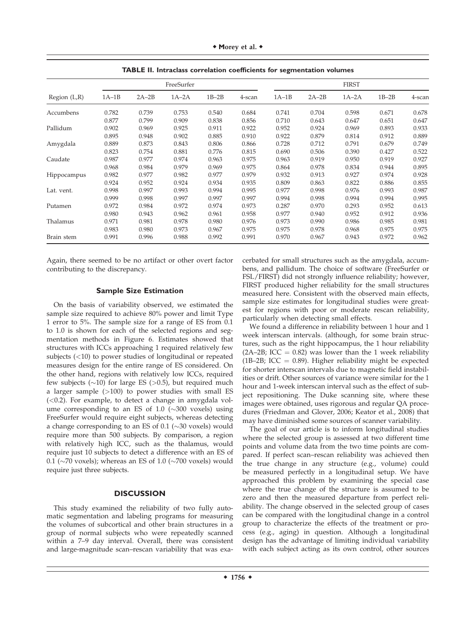|                |            |         |         |         |        | ັ            |         |         |         |        |
|----------------|------------|---------|---------|---------|--------|--------------|---------|---------|---------|--------|
| Region $(L,R)$ | FreeSurfer |         |         |         |        | <b>FIRST</b> |         |         |         |        |
|                | $1A-1B$    | $2A-2B$ | $1A-2A$ | $1B-2B$ | 4-scan | $1A-1B$      | $2A-2B$ | $1A-2A$ | $1B-2B$ | 4-scan |
| Accumbens      | 0.782      | 0.739   | 0.753   | 0.540   | 0.684  | 0.741        | 0.704   | 0.598   | 0.671   | 0.678  |
|                | 0.877      | 0.799   | 0.909   | 0.838   | 0.856  | 0.710        | 0.643   | 0.647   | 0.651   | 0.647  |
| Pallidum       | 0.902      | 0.969   | 0.925   | 0.911   | 0.922  | 0.952        | 0.924   | 0.969   | 0.893   | 0.933  |
|                | 0.895      | 0.948   | 0.902   | 0.885   | 0.910  | 0.922        | 0.879   | 0.814   | 0.912   | 0.889  |
| Amygdala       | 0.889      | 0.873   | 0.843   | 0.806   | 0.866  | 0.728        | 0.712   | 0.791   | 0.679   | 0.749  |
|                | 0.823      | 0.754   | 0.881   | 0.776   | 0.815  | 0.690        | 0.506   | 0.390   | 0.427   | 0.522  |
| Caudate        | 0.987      | 0.977   | 0.974   | 0.963   | 0.975  | 0.963        | 0.919   | 0.950   | 0.919   | 0.927  |
|                | 0.968      | 0.984   | 0.979   | 0.969   | 0.975  | 0.864        | 0.978   | 0.834   | 0.944   | 0.895  |
| Hippocampus    | 0.982      | 0.977   | 0.982   | 0.977   | 0.979  | 0.932        | 0.913   | 0.927   | 0.974   | 0.928  |
|                | 0.924      | 0.952   | 0.924   | 0.934   | 0.935  | 0.809        | 0.863   | 0.822   | 0.886   | 0.855  |
| Lat. vent.     | 0.998      | 0.997   | 0.993   | 0.994   | 0.995  | 0.977        | 0.998   | 0.976   | 0.993   | 0.987  |
|                | 0.999      | 0.998   | 0.997   | 0.997   | 0.997  | 0.994        | 0.998   | 0.994   | 0.994   | 0.995  |
| Putamen        | 0.972      | 0.984   | 0.972   | 0.974   | 0.973  | 0.287        | 0.970   | 0.293   | 0.952   | 0.613  |
|                | 0.980      | 0.943   | 0.962   | 0.961   | 0.958  | 0.977        | 0.940   | 0.952   | 0.912   | 0.936  |
| Thalamus       | 0.971      | 0.981   | 0.978   | 0.980   | 0.976  | 0.973        | 0.990   | 0.986   | 0.985   | 0.981  |
|                | 0.983      | 0.980   | 0.973   | 0.967   | 0.975  | 0.975        | 0.978   | 0.968   | 0.975   | 0.975  |
| Brain stem     | 0.991      | 0.996   | 0.988   | 0.992   | 0.991  | 0.970        | 0.967   | 0.943   | 0.972   | 0.962  |

**TABLE II. Intraclass correlation coefficients for segmentation volumes**

Again, there seemed to be no artifact or other overt factor contributing to the discrepancy.

#### **Sample Size Estimation**

On the basis of variability observed, we estimated the sample size required to achieve 80% power and limit Type 1 error to 5%. The sample size for a range of ES from 0.1 to 1.0 is shown for each of the selected regions and segmentation methods in Figure 6. Estimates showed that structures with ICCs approaching 1 required relatively few subjects (<10) to power studies of longitudinal or repeated measures design for the entire range of ES considered. On the other hand, regions with relatively low ICCs, required few subjects  $(\sim 10)$  for large ES ( $> 0.5$ ), but required much a larger sample  $(>100)$  to power studies with small ES (<0.2). For example, to detect a change in amygdala volume corresponding to an ES of 1.0 ( $\sim$ 300 voxels) using FreeSurfer would require eight subjects, whereas detecting a change corresponding to an ES of 0.1 ( $\sim$ 30 voxels) would require more than 500 subjects. By comparison, a region with relatively high ICC, such as the thalamus, would require just 10 subjects to detect a difference with an ES of 0.1 ( $\sim$ 70 voxels); whereas an ES of 1.0 ( $\sim$ 700 voxels) would require just three subjects.

# **DISCUSSION**

This study examined the reliability of two fully automatic segmentation and labeling programs for measuring the volumes of subcortical and other brain structures in a group of normal subjects who were repeatedly scanned within a 7–9 day interval. Overall, there was consistent and large-magnitude scan–rescan variability that was exacerbated for small structures such as the amygdala, accumbens, and pallidum. The choice of software (FreeSurfer or FSL/FIRST) did not strongly influence reliability; however, FIRST produced higher reliability for the small structures measured here. Consistent with the observed main effects, sample size estimates for longitudinal studies were greatest for regions with poor or moderate rescan reliability, particularly when detecting small effects.

We found a difference in reliability between 1 hour and 1 week interscan intervals. (although, for some brain structures, such as the right hippocampus, the 1 hour reliability  $(2A-2B; ICC = 0.82)$  was lower than the 1 week reliability  $(1B-2B; ICC = 0.89)$ . Higher reliability might be expected for shorter interscan intervals due to magnetic field instabilities or drift. Other sources of variance were similar for the 1 hour and 1-week interscan interval such as the effect of subject repositioning. The Duke scanning site, where these images were obtained, uses rigorous and regular QA procedures (Friedman and Glover, 2006; Keator et al., 2008) that may have diminished some sources of scanner variability.

The goal of our article is to inform longitudinal studies where the selected group is assessed at two different time points and volume data from the two time points are compared. If perfect scan–rescan reliability was achieved then the true change in any structure (e.g., volume) could be measured perfectly in a longitudinal setup. We have approached this problem by examining the special case where the true change of the structure is assumed to be zero and then the measured departure from perfect reliability. The change observed in the selected group of cases can be compared with the longitudinal change in a control group to characterize the effects of the treatment or process (e.g., aging) in question. Although a longitudinal design has the advantage of limiting individual variability with each subject acting as its own control, other sources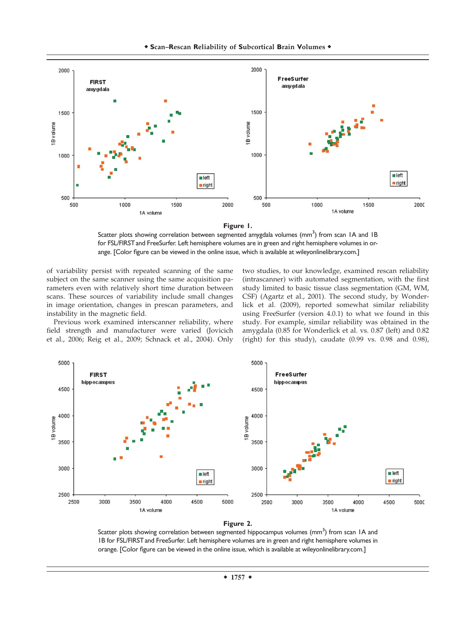<sup>r</sup> **S**can–**R**escan **R**eliability of **S**ubcortical **B**rain **V**olumes <sup>r</sup>





Scatter plots showing correlation between segmented amygdala volumes  $\text{(mm}^3\text{)}$  from scan 1A and 1B for FSL/FIRSTand FreeSurfer. Left hemisphere volumes are in green and right hemisphere volumes in orange. [Color figure can be viewed in the online issue, which is available at wileyonlinelibrary.com.]

of variability persist with repeated scanning of the same subject on the same scanner using the same acquisition parameters even with relatively short time duration between scans. These sources of variability include small changes in image orientation, changes in prescan parameters, and instability in the magnetic field.

Previous work examined interscanner reliability, where field strength and manufacturer were varied (Jovicich et al., 2006; Reig et al., 2009; Schnack et al., 2004). Only two studies, to our knowledge, examined rescan reliability (intrascanner) with automated segmentation, with the first study limited to basic tissue class segmentation (GM, WM, CSF) (Agartz et al., 2001). The second study, by Wonderlick et al. (2009), reported somewhat similar reliability using FreeSurfer (version 4.0.1) to what we found in this study. For example, similar reliability was obtained in the amygdala (0.85 for Wonderlick et al. vs. 0.87 (left) and 0.82 (right) for this study), caudate (0.99 vs. 0.98 and 0.98),



![](_page_6_Figure_8.jpeg)

Scatter plots showing correlation between segmented hippocampus volumes  $\rm (mm^3)$  from scan 1A and 1B for FSL/FIRST and FreeSurfer. Left hemisphere volumes are in green and right hemisphere volumes in orange. [Color figure can be viewed in the online issue, which is available at wileyonlinelibrary.com.]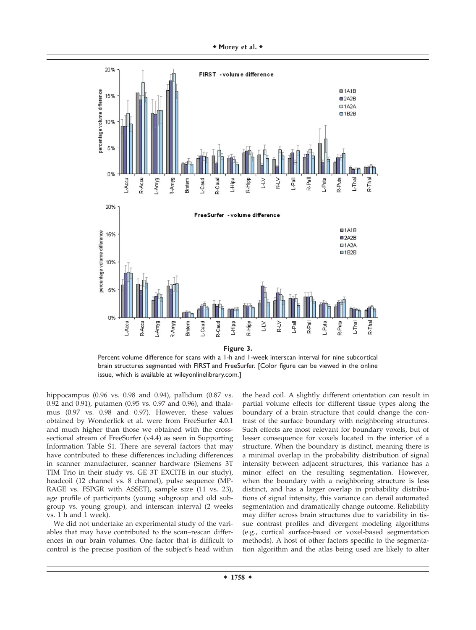![](_page_7_Figure_1.jpeg)

Percent volume difference for scans with a 1-h and 1-week interscan interval for nine subcortical brain structures segmented with FIRST and FreeSurfer. [Color figure can be viewed in the online issue, which is available at wileyonlinelibrary.com.]

hippocampus (0.96 vs. 0.98 and 0.94), pallidum (0.87 vs. 0.92 and 0.91), putamen (0.95 vs. 0.97 and 0.96), and thalamus (0.97 vs. 0.98 and 0.97). However, these values obtained by Wonderlick et al. were from FreeSurfer 4.0.1 and much higher than those we obtained with the crosssectional stream of FreeSurfer (v4.4) as seen in Supporting Information Table S1. There are several factors that may have contributed to these differences including differences in scanner manufacturer, scanner hardware (Siemens 3T TIM Trio in their study vs. GE 3T EXCITE in our study), headcoil (12 channel vs. 8 channel), pulse sequence (MP-RAGE vs. FSPGR with ASSET), sample size (11 vs. 23), age profile of participants (young subgroup and old subgroup vs. young group), and interscan interval (2 weeks vs. 1 h and 1 week).

We did not undertake an experimental study of the variables that may have contributed to the scan–rescan differences in our brain volumes. One factor that is difficult to control is the precise position of the subject's head within the head coil. A slightly different orientation can result in partial volume effects for different tissue types along the boundary of a brain structure that could change the contrast of the surface boundary with neighboring structures. Such effects are most relevant for boundary voxels, but of lesser consequence for voxels located in the interior of a structure. When the boundary is distinct, meaning there is a minimal overlap in the probability distribution of signal intensity between adjacent structures, this variance has a minor effect on the resulting segmentation. However, when the boundary with a neighboring structure is less distinct, and has a larger overlap in probability distributions of signal intensity, this variance can derail automated segmentation and dramatically change outcome. Reliability may differ across brain structures due to variability in tissue contrast profiles and divergent modeling algorithms (e.g., cortical surface-based or voxel-based segmentation methods). A host of other factors specific to the segmentation algorithm and the atlas being used are likely to alter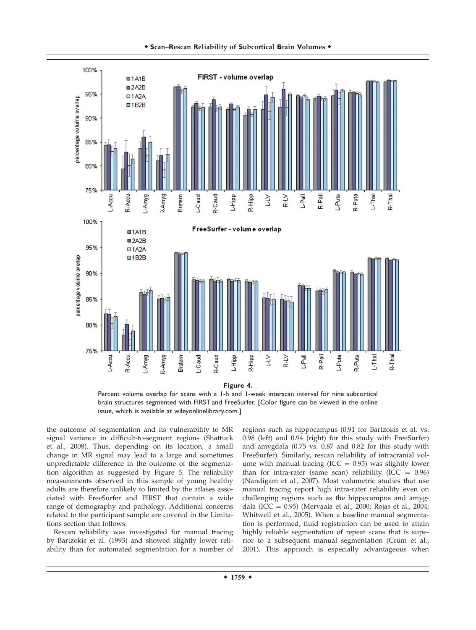![](_page_8_Figure_1.jpeg)

Percent volume overlap for scans with a 1-h and 1-week interscan interval for nine subcortical brain structures segmented with FIRST and FreeSurfer. [Color figure can be viewed in the online issue, which is available at wileyonlinelibrary.com.]

the outcome of segmentation and its vulnerability to MR signal variance in difficult-to-segment regions (Shattuck et al., 2008). Thus, depending on its location, a small change in MR signal may lead to a large and sometimes unpredictable difference in the outcome of the segmentation algorithm as suggested by Figure 5. The reliability measurements observed in this sample of young healthy adults are therefore unlikely to limited by the atlases associated with FreeSurfer and FIRST that contain a wide range of demography and pathology. Additional concerns related to the participant sample are covered in the Limitations section that follows.

Rescan reliability was investigated for manual tracing by Bartzokis et al. (1993) and showed slightly lower reliability than for automated segmentation for a number of regions such as hippocampus (0.91 for Bartzokis et al. vs. 0.98 (left) and 0.94 (right) for this study with FreeSurfer) and amygdala (0.75 vs. 0.87 and 0.82 for this study with FreeSurfer). Similarly, rescan reliability of intracranial volume with manual tracing (ICC  $= 0.95$ ) was slightly lower than for intra-rater (same scan) reliability (ICC  $= 0.96$ ) (Nandigam et al., 2007). Most volumetric studies that use manual tracing report high intra-rater reliability even on challenging regions such as the hippocampus and amygdala (ICC = 0.95) (Mervaala et al., 2000; Rojas et al., 2004; Whitwell et al., 2005). When a baseline manual segmentation is performed, fluid registration can be used to attain highly reliable segmentation of repeat scans that is superior to a subsequent manual segmentation (Crum et al., 2001). This approach is especially advantageous when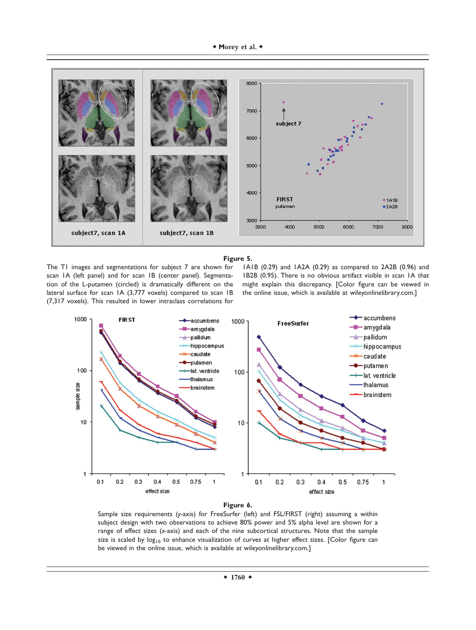![](_page_9_Figure_1.jpeg)

#### **Figure 5.**

The T1 images and segmentations for subject 7 are shown for scan 1A (left panel) and for scan 1B (center panel). Segmentation of the L-putamen (circled) is dramatically different on the lateral surface for scan IA (3,777 voxels) compared to scan IB (7,317 voxels). This resulted in lower intraclass correlations for

1A1B (0.29) and 1A2A (0.29) as compared to 2A2B (0.96) and 1B2B (0.95). There is no obvious artifact visible in scan 1A that might explain this discrepancy. [Color figure can be viewed in the online issue, which is available at wileyonlinelibrary.com.]

![](_page_9_Figure_5.jpeg)

**Figure 6.**

Sample size requirements (*y*-axis) for FreeSurfer (left) and FSL/FIRST (right) assuming a within subject design with two observations to achieve 80% power and 5% alpha level are shown for a range of effect sizes (*x*-axis) and each of the nine subcortical structures. Note that the sample size is scaled by log<sub>10</sub> to enhance visualization of curves at higher effect sizes. [Color figure can be viewed in the online issue, which is available at wileyonlinelibrary.com.]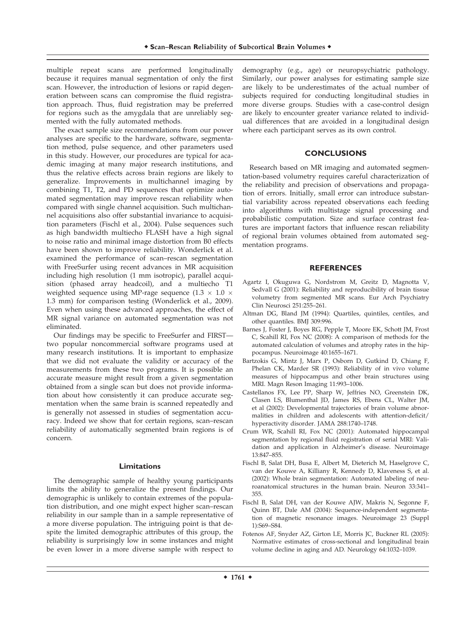multiple repeat scans are performed longitudinally because it requires manual segmentation of only the first scan. However, the introduction of lesions or rapid degeneration between scans can compromise the fluid registration approach. Thus, fluid registration may be preferred for regions such as the amygdala that are unreliably segmented with the fully automated methods.

The exact sample size recommendations from our power analyses are specific to the hardware, software, segmentation method, pulse sequence, and other parameters used in this study. However, our procedures are typical for academic imaging at many major research institutions, and thus the relative effects across brain regions are likely to generalize. Improvements in multichannel imaging by combining T1, T2, and PD sequences that optimize automated segmentation may improve rescan reliability when compared with single channel acquisition. Such multichannel acquisitions also offer substantial invariance to acquisition parameters (Fischl et al., 2004). Pulse sequences such as high bandwidth multiecho FLASH have a high signal to noise ratio and minimal image distortion from B0 effects have been shown to improve reliability. Wonderlick et al. examined the performance of scan–rescan segmentation with FreeSurfer using recent advances in MR acquisition including high resolution (1 mm isotropic), parallel acquisition (phased array headcoil), and a multiecho T1 weighted sequence using MP-rage sequence (1.3  $\times$  1.0  $\times$ 1.3 mm) for comparison testing (Wonderlick et al., 2009). Even when using these advanced approaches, the effect of MR signal variance on automated segmentation was not eliminated.

Our findings may be specific to FreeSurfer and FIRST two popular noncommercial software programs used at many research institutions. It is important to emphasize that we did not evaluate the validity or accuracy of the measurements from these two programs. It is possible an accurate measure might result from a given segmentation obtained from a single scan but does not provide information about how consistently it can produce accurate segmentation when the same brain is scanned repeatedly and is generally not assessed in studies of segmentation accuracy. Indeed we show that for certain regions, scan–rescan reliability of automatically segmented brain regions is of concern.

#### **Limitations**

The demographic sample of healthy young participants limits the ability to generalize the present findings. Our demographic is unlikely to contain extremes of the population distribution, and one might expect higher scan–rescan reliability in our sample than in a sample representative of a more diverse population. The intriguing point is that despite the limited demographic attributes of this group, the reliability is surprisingly low in some instances and might be even lower in a more diverse sample with respect to

demography (e.g., age) or neuropsychiatric pathology. Similarly, our power analyses for estimating sample size are likely to be underestimates of the actual number of subjects required for conducting longitudinal studies in more diverse groups. Studies with a case-control design are likely to encounter greater variance related to individual differences that are avoided in a longitudinal design where each participant serves as its own control.

## **CONCLUSIONS**

Research based on MR imaging and automated segmentation-based volumetry requires careful characterization of the reliability and precision of observations and propagation of errors. Initially, small error can introduce substantial variability across repeated observations each feeding into algorithms with multistage signal processing and probabilistic computation. Size and surface contrast features are important factors that influence rescan reliability of regional brain volumes obtained from automated segmentation programs.

## **REFERENCES**

- Agartz I, Okuguwa G, Nordstrom M, Greitz D, Magnotta V, Sedvall G (2001): Reliability and reproducibility of brain tissue volumetry from segmented MR scans. Eur Arch Psychiatry Clin Neurosci 251:255–261.
- Altman DG, Bland JM (1994): Quartiles, quintiles, centiles, and other quantiles. BMJ 309:996.
- Barnes J, Foster J, Boyes RG, Pepple T, Moore EK, Schott JM, Frost C, Scahill RI, Fox NC (2008): A comparison of methods for the automated calculation of volumes and atrophy rates in the hippocampus. Neuroimage 40:1655–1671.
- Bartzokis G, Mintz J, Marx P, Osborn D, Gutkind D, Chiang F, Phelan CK, Marder SR (1993): Reliability of in vivo volume measures of hippocampus and other brain structures using MRI. Magn Reson Imaging 11:993–1006.
- Castellanos FX, Lee PP, Sharp W, Jeffries NO, Greenstein DK, Clasen LS, Blumenthal JD, James RS, Ebens CL, Walter JM, et al (2002): Developmental trajectories of brain volume abnormalities in children and adolescents with attention-deficit/ hyperactivity disorder. JAMA 288:1740–1748.
- Crum WR, Scahill RI, Fox NC (2001): Automated hippocampal segmentation by regional fluid registration of serial MRI: Validation and application in Alzheimer's disease. Neuroimage 13:847–855.
- Fischl B, Salat DH, Busa E, Albert M, Dieterich M, Haselgrove C, van der Kouwe A, Killiany R, Kennedy D, Klaveness S, et al. (2002): Whole brain segmentation: Automated labeling of neuroanatomical structures in the human brain. Neuron 33:341– 355.
- Fischl B, Salat DH, van der Kouwe AJW, Makris N, Segonne F, Quinn BT, Dale AM (2004): Sequence-independent segmentation of magnetic resonance images. Neuroimage 23 (Suppl 1):S69–S84.
- Fotenos AF, Snyder AZ, Girton LE, Morris JC, Buckner RL (2005): Normative estimates of cross-sectional and longitudinal brain volume decline in aging and AD. Neurology 64:1032–1039.